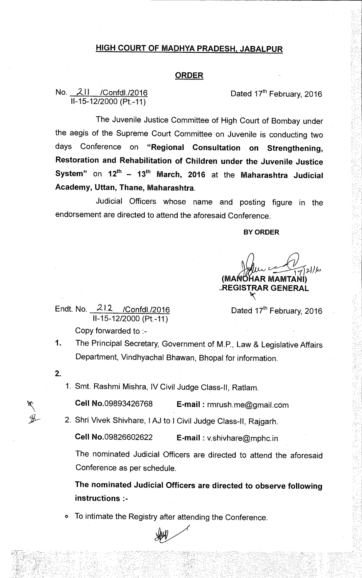## **HIGH COURT OF MADHYA PRADESH, JABALPUR**

### **ORDER**

No. 211 / Confdl./2016 Content of the Dated 17<sup>th</sup> February, 2016 11-15-12/2000 (Pt.-11)

The Juvenile Justice Committee of High Court of Bombay under the aegis of the Supreme Court Committee on Juvenile is conducting two days Conference on **"Regional Consultation on Strengthening, Restoration and Rehabilitation of Children under the Juvenile Justice System"** on  $12^{th}$  –  $13^{th}$  March, 2016 at the Maharashtra Judicial **Academy, Uttan, Thane, Maharashtra.** 

Judicial Officers whose name and posting figure in the endorsement are directed to attend the aforesaid Conference.

**BY ORDER** 

 $\sqrt{721}/7$ **(MAi AR MAMTANI) \_REGISTRAR GENERAL** 

Endt. No. 212- /Confdl./2016 11-15-12/2000 (Pt.-11)

Dated 17<sup>th</sup> February, 2016

Copy forwarded to :-

1. The Principal Secretary, Government of M.P., Law & Legislative Affairs Department, Vindhyachal Bhawan, Bhopal for information.

 $\mathbf{2}$ .

1. Smt. Rashmi Mishra, IV Civil Judge Class-II, Ratlam.

**Cell** No.09893426768 **E-mail :** rmrush.me@gmaiI.com

2. Shri Vivek Shivhare, I AJ to I Civil Judge Class-II, Rajgarh.

**Cell** No.09826602622 **E-mail :** v.shivhare@mphc.in

The nominated Judicial Officers are directed to attend the aforesaid Conference as per schedule.

**The nominated Judicial Officers are directed to observe following instructions :-** 

To intimate the Registry after attending the Conference.

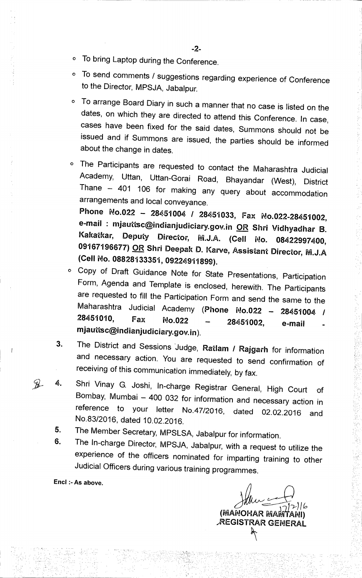- **O To bring Laptop during the Conference.**
- **O To send comments / suggestions regarding experience of Conference to the Director, MPSJA, Jabalpur.**
- **O To arrange Board Diary in such a manner that no case is listed on the dates, on which they are directed to attend this Conference. In case, cases have been fixed for the said dates, Summons should not be issued and if Summons are issued, the parties should be informed about the change in dates.**
- **0 The Participants are requested to contact the Maharashtra Judicial Academy, Uttan, Uttan-Gorai Road, Bhayandar (West), District Thane — 401 106 for making any query about accommodation arrangements and local conveyance. Phone No.022 — 28451004 / 28451033, Fax No.022-28451002, e-mail : mjauttsc@indianjudiciary.govin OR Shri Vidhyadhar B. Kakatkar, Deputy Director, WLJ.A. (Cell No. 08422997400, 09167196677) OR Shri Deepak D. Karve, Assistant Director, (Cell No. 08828133351,09224911899).**
- **0 Copy of Draft Guidance Note for State Presentations, Participation Form, Agenda and Template is enclosed, herewith. The Participants are requested to fill the Participation Form and send the same to the Maharashtra Judicial Academy (Phone No.022 — 28451004 / 28451010, Fax No.022 — 28451002, e-mail mjauttsc@indianjudiciary.govin).**
- **3. The District and Sessions Judge, Ratlam / Rajgarh for information and necessary action. You are requested to send confirmation of receiving of this communication immediately, by fax.**
- **5, 4. Shri Vinay G. Joshi, In-charge Registrar General, High Court of Bombay, Mumbai — 400 032 for information and necessary action in reference to your letter No.47/2016, dated 02.02.2016 and No.83/2016, dated 10.02.2016.** 
	- **5. The Member Secretary, MPSLSA, Jabalpur for information.**
	- **6. The In-charge Director, MPSJA, Jabalpur, with a request to utilize the experience of the officers nominated for imparting training to other Judicial Officers during various training programmes.**

Encl :- As above.

*3:2P-)16*  **(illiANOHAR MAIVITANI) /REGISTRAR GENERAL**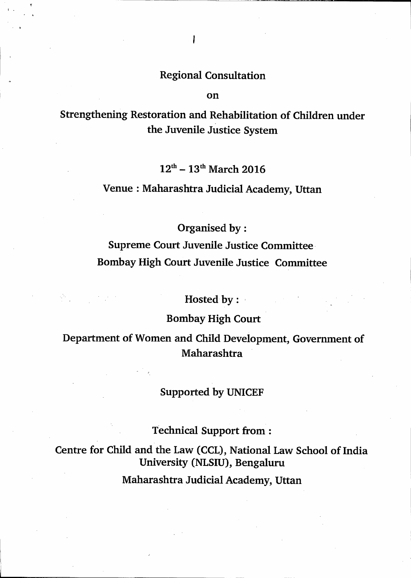**on** 

**Strengthening Restoration and Rehabilitation of Children under the Juvenile Justice System** 

12<sup>th</sup> – 13<sup>th</sup> March 2016

**Venue : Maharashtra Judicial Academy, Uttan** 

**Organised by:** 

**Supreme Court Juvenile Justice Committee Bombay High Court Juvenile Justice Committee** 

**Hosted by:** 

**Bombay High Court** 

**Department of Women and Child Development, Government of Maharashtra** 

**Supported by UNICEF** 

**Technical Support from:** 

**Centre for Child and the Law (CCL), National Law School of India University (NLSIU), Bengaluru** 

**Maharashtra Judicial Academy, Uttan**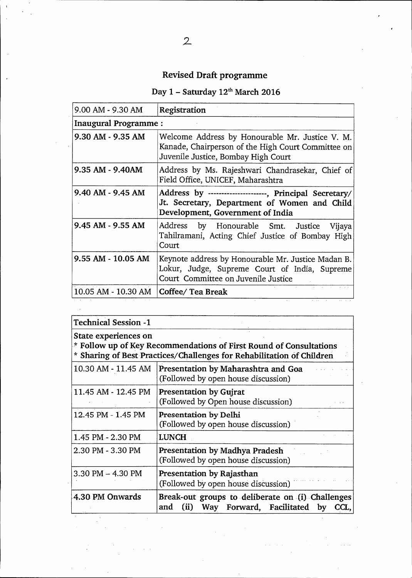# **Revised Draft programme**

# Day 1 - Saturday 12<sup>th</sup> March 2016

| 9.00 AM - 9.30 AM           | Registration                                                                                                                                 |  |  |  |
|-----------------------------|----------------------------------------------------------------------------------------------------------------------------------------------|--|--|--|
| <b>Inaugural Programme:</b> |                                                                                                                                              |  |  |  |
| 9.30 AM - 9.35 AM           | Welcome Address by Honourable Mr. Justice V. M.<br>Kanade, Chairperson of the High Court Committee on<br>Juvenile Justice, Bombay High Court |  |  |  |
| 9.35 AM - 9.40AM            | Address by Ms. Rajeshwari Chandrasekar, Chief of<br>Field Office, UNICEF, Maharashtra                                                        |  |  |  |
| 9.40 AM - 9.45 AM           | Address by ---------------------, Principal Secretary/<br>Jt. Secretary, Department of Women and Child<br>Development, Government of India   |  |  |  |
| 9.45 AM - 9.55 AM           | Address by Honourable Smt. Justice<br>Vijaya<br>Tahilramani, Acting Chief Justice of Bombay High<br>Court                                    |  |  |  |
| 9.55 AM - 10.05 AM          | Keynote address by Honourable Mr. Justice Madan B.<br>Lokur, Judge, Supreme Court of India, Supreme<br>Court Committee on Juvenile Justice   |  |  |  |
| 10.05 AM - 10.30 AM         | Coffee/ Tea Break                                                                                                                            |  |  |  |

| <b>Technical Session -1</b>                                                                                                                                         |                                                                                                        |  |  |  |
|---------------------------------------------------------------------------------------------------------------------------------------------------------------------|--------------------------------------------------------------------------------------------------------|--|--|--|
| State experiences on<br>* Follow up of Key Recommendations of First Round of Consultations<br>* Sharing of Best Practices/Challenges for Rehabilitation of Children |                                                                                                        |  |  |  |
| 10.30 AM - 11.45 AM                                                                                                                                                 | Presentation by Maharashtra and Goa<br>(Followed by open house discussion)                             |  |  |  |
| 11.45 AM - 12.45 PM                                                                                                                                                 | <b>Presentation by Gujrat</b><br>(Followed by Open house discussion)                                   |  |  |  |
| 12.45 PM - 1.45 PM                                                                                                                                                  | Presentation by Delhi<br>(Followed by open house discussion)                                           |  |  |  |
| 1.45 PM - 2.30 PM                                                                                                                                                   | <b>LUNCH</b>                                                                                           |  |  |  |
| 2.30 PM - 3.30 PM                                                                                                                                                   | Presentation by Madhya Pradesh<br>(Followed by open house discussion)                                  |  |  |  |
| $3.30$ PM $-$ 4.30 PM                                                                                                                                               | Presentation by Rajasthan<br>(Followed by open house discussion)                                       |  |  |  |
| 4.30 PM Onwards                                                                                                                                                     | Break-out groups to deliberate on (i) Challenges<br>Way Forward, Facilitated by<br>(ii)<br>and<br>CCL. |  |  |  |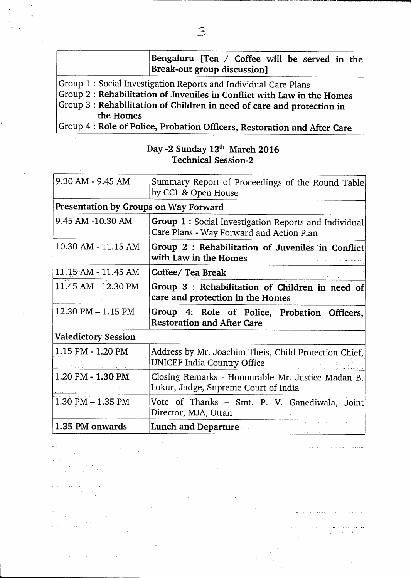|                                                                        | Bengaluru [Tea / Coffee will be served in the<br>Break-out group discussion]                |  |  |  |  |
|------------------------------------------------------------------------|---------------------------------------------------------------------------------------------|--|--|--|--|
| Group 1 : Social Investigation Reports and Individual Care Plans       |                                                                                             |  |  |  |  |
|                                                                        | Group 2 : Rehabilitation of Juveniles in Conflict with Law in the Homes                     |  |  |  |  |
| Group 3 : Rehabilitation of Children in need of care and protection in |                                                                                             |  |  |  |  |
| the Homes                                                              |                                                                                             |  |  |  |  |
|                                                                        | $C$ roun $\Lambda \cdot \text{Dola}$ of Dolian Drobotion Officers Destermines and $\Lambda$ |  |  |  |  |

Group 4 : **Role of Police, Probation Officers, Restoration and After Care** 

| Day -2 Sunday $13th$ March 2016 |  |
|---------------------------------|--|
| <b>Technical Session-2</b>      |  |

| 1.35 PM onwards                       | <b>Lunch and Departure</b><br><u> 2005 - 2006 - 2006 - 200</u>                                    |  |  |  |  |
|---------------------------------------|---------------------------------------------------------------------------------------------------|--|--|--|--|
| $1.30$ PM $-1.35$ PM                  | Vote of Thanks - Smt. P. V. Ganediwala, Joint<br>Director, MJA, Uttan                             |  |  |  |  |
| 1.20 PM - 1.30 PM                     | Closing Remarks - Honourable Mr. Justice Madan B.<br>Lokur, Judge, Supreme Court of India         |  |  |  |  |
| 1.15 PM - 1.20 PM                     | Address by Mr. Joachim Theis, Child Protection Chief,<br>UNICEF India Country Office              |  |  |  |  |
| <b>Valedictory Session</b>            |                                                                                                   |  |  |  |  |
| 12.30 PM - 1.15 PM                    | Group 4: Role of Police, Probation<br>Officers,<br><b>Restoration and After Care</b>              |  |  |  |  |
| 11.45 AM - 12.30 PM                   | Group 3 : Rehabilitation of Children in need of<br>care and protection in the Homes               |  |  |  |  |
| 11.15 AM - 11.45 AM                   | Coffee/ Tea Break                                                                                 |  |  |  |  |
| 10.30 AM - 11.15 AM                   | Group 2 : Rehabilitation of Juveniles in Conflict<br>with Law in the Homes                        |  |  |  |  |
| 9.45 AM -10.30 AM                     | Group 1 : Social Investigation Reports and Individual<br>Care Plans - Way Forward and Action Plan |  |  |  |  |
| Presentation by Groups on Way Forward |                                                                                                   |  |  |  |  |
| 9.30 AM - 9.45 AM                     | Summary Report of Proceedings of the Round Table<br>by CCL & Open House                           |  |  |  |  |

 $\frac{1}{2}$  $\sim$ 

 $\mathcal{L}_{\mathcal{A}}$ 

 $\mathcal{A}$ 

 $\sim 10^{-1}$  km

 $\overline{a}$ 

÷,

 $\sim 100$  km  $^{-1}$ 

 $\epsilon$  ,  $\beta$  ,  $\sim$ 

 $\cdot$  $\sim$ 

 $\sim$ 

سادة والمعتقد فالمراد

 $\bar{\mathcal{A}}$ 

 $\sim 10$ 

عب عبد عبد عبد عبد العبد العبد العبد العبد العبد العبد العبد العبد العبد العبد العبد العبد العبد الع<br>العبد العبد العبد العبد العبد العبد العبد العبد العبد العبد العبد العبد العبد العبد العبد العبد العبد العبد ال

 $\hat{\pi}$  ,  $\hat{\pi}$  ,  $\hat{\pi}$  ,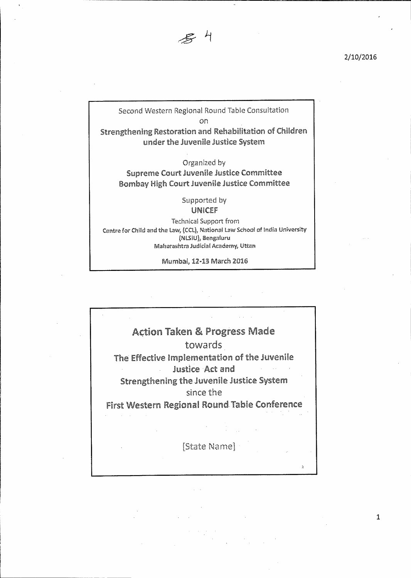

Second Western Regional Round Tabie Consultation on

Strengthening Restoration and Rehabilitation of Children under the Juvenile justice System

Organized by Supreme Court juvenile justice Committee Bombay High Court juvenile justice Committee

> Supported by UNR:EF

Technical Support from Centre for Child and the Law, (CCL), National Law School of India University **(LSW <sup>I</sup>** Bengaiuru Maharashtra Judicial Academy, Uttan

Mumbal, 1243 March 2016

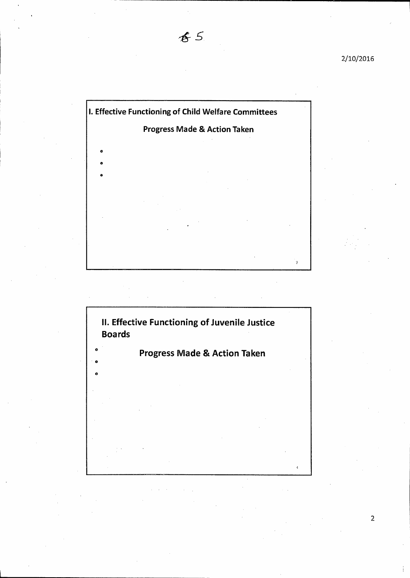

 $85$ 



 $\overline{2}$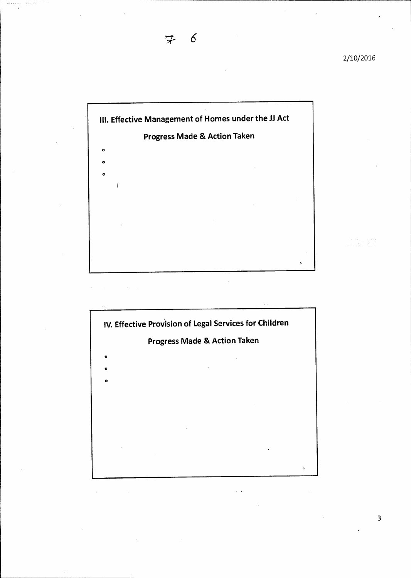an di Kabupatén<br>Kacamatan Tanah



 $6\overline{6}$ 



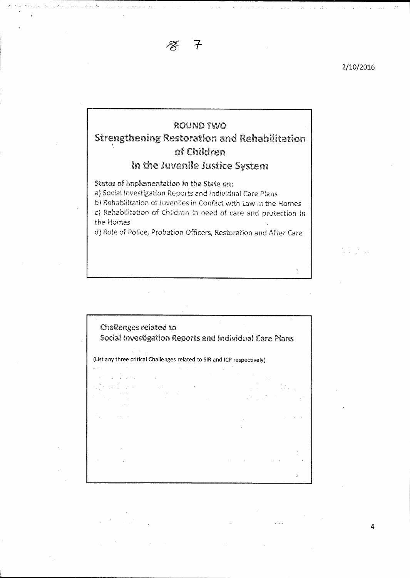

## ROUND TWO Strengthening Restoration and Rehabilitation of Children in the Juvenile Justice System

Status of implementation in the State on:

a) Social investigation Reports and Individual Care Plans

b) Rehabilitation of juveniles in Conflict with Law in the Homes c) Rehabilitation of Children in need of care and protection in the Homes

d) Role of Police, Probation Officers, Restoration and After Care

Challenges related to Social Investigation Reports and Individual Care Plans (List any three critical Challenges related to SIR and ICP respectively)  $\bar{Z}$ 

 $\overline{I}$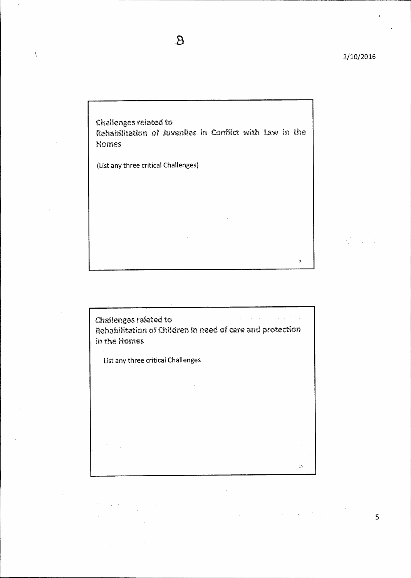$\mathbf{r}$ 

 $\langle \cdot \rangle$ 

Challenges related to Rehabilitation of juveniles in Conflict with Law in the Homes

 $\mathbf{g}$ 

(List any three critical Challenges)

 $\overline{1}$ 

Challenges related to Rehabilitation of Children in need of care and protection in the Homes

List any three critical Challenges

 $\frac{1}{2} \frac{1}{2}$ 

 $\chi$  ,  $\chi$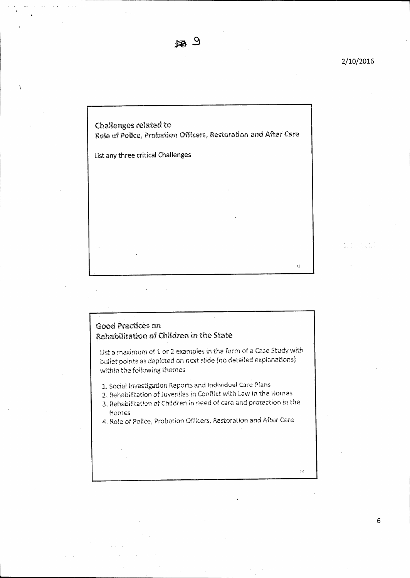da ar an an an an 1991.<br>Tachartasan

••..

 $\bar{\Omega}$ 

Challenges related to Role of Police, Probation Officers, Restoration and After Care

**List any three critical Challenges** 

## Good Practices on Rehabilitation of Children in the State

List a maximum of I or 2 examples in the form of a Case Study with bullet points as depicted on next slide (no detailed explanations) within the following themes

I. Social investigation Reports and individual Care Plans

- 2. Rehabilitation of Juveniles in Conflict with Law in the Homes
- 3. Rehabilitation of Children in need of care and protection in the Homes
- 4. Role of Police, Probation Officers, Restoration and After Care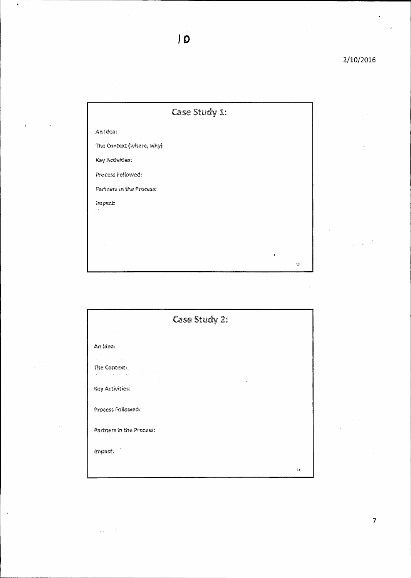|                          | Case Study 1: |   |    |
|--------------------------|---------------|---|----|
| An idea:                 |               |   |    |
| The Context (where, why) |               |   |    |
| Key Activities:          |               |   |    |
| Process Followed:        |               |   |    |
| Partners in the Process: |               |   |    |
| impact:                  |               |   |    |
|                          |               |   |    |
|                          |               |   |    |
|                          |               |   |    |
|                          |               | ٠ | 13 |

 $\overline{10}$ 

 $\ddot{\phantom{a}}$ 

 $\sqrt{2}$ 

j

 $\bar{\beta}$ 

| Case Study 2:                                                            |    |  |  |  |
|--------------------------------------------------------------------------|----|--|--|--|
| An idea:                                                                 |    |  |  |  |
| The Context:<br>$\sim 10^{11}$ km s $^{-1}$ M $_{\odot}$<br>and a string |    |  |  |  |
| Key Activities:                                                          |    |  |  |  |
| Process Followed:                                                        |    |  |  |  |
| Partners in the Process:                                                 |    |  |  |  |
| impact:                                                                  |    |  |  |  |
|                                                                          | 33 |  |  |  |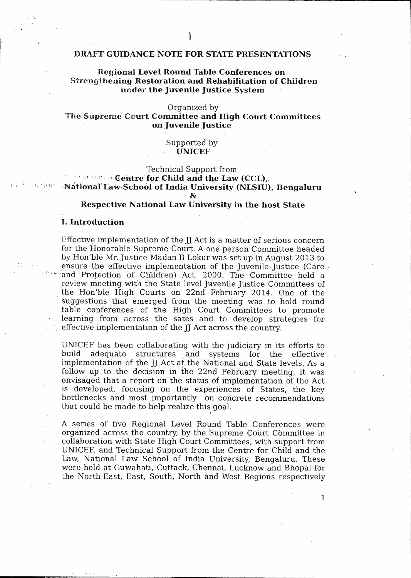#### **DRAFT GUIDANCE NOTE FOR STATE PRESENTATIONS**

#### **Regional Level Round Table Conferences on**  Strengt**hening Restoration and Rehabilitation of Children**  under **the Juvenile Justice System**

#### Organized by

#### The Supreme **Court Committee and High Court Committees on juvenile Justice**

#### Supported by **• UNICEF**

Technical Support from

**• Centre for Child and the Law (CCL), - National Law School of India University (NLSIU), Bengaluru** 

£,

#### **Respective National Law University in the host State**

#### **I. Introduction**

Effective implementation of the *JJ* Act is a matter of serious concern for the Honorable Supreme Court. A one person Committee headed by Hon'ble Mr. Justice Madan B Lokur was set up in August 2013 to ensure the effective implementation of the Juvenile Justice (Care • and Protection of Children) Act, 2000. The Committee held a review meeting with the State level juvenile justice Committees of the Hon'ble High Courts on 22nd February 2014. One of the suggestions that emerged from the meeting was to hold round. table conferences of the High Court Committees to promote learning from across the sates and to develop strategies for effective implementation of the II Act across the country.

UNICEF has been collaborating with the judiciary in its efforts to adequate structures and systems for the effective implementation of the JJ Act at the National and State levels. As a follow up to the decision in the 22nd February meeting, it was envisaged that a report on the status of implementation of the Act is developed, focusing on the experiences of States, the key bottlenecks and most importantly on concrete recommendations that could be made to help realize this goal.

A series of five. Regional Level Round Table Conferences were organized across the country, by the Supreme court COmmittee in collaboration with State High Court Committees, with support from UNICEF, and Technical Support from the Centre for .Child. and the Law, National Law School of India University, Bengaluru. These were held at Guwahati, Cuttack, Chennai, Lucknow and Bhopal for the North-East, East, South, North and West Regions respectively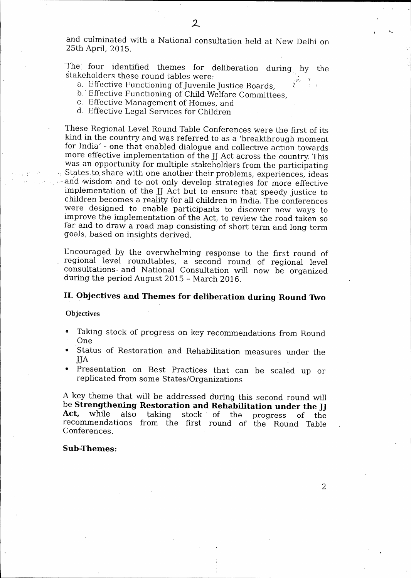and culminated with a National consultation held at New Delhi on 25th April, 2015.

The four identified themes for deliberation during by the stakeholders these round tables were:

- a. Effective Functioning of juvenile Justice Boards,
- b. Effective Functioning of Child Welfare Committees.
- c. Effective Management of Homes, and
- d. Effective Legal Services for Children

These Regional Level Round Table Conferences were the first of its kind in the country and was referred to as a 'breakthrough moment for India' - one that enabled dialogue and collective action towards more effective implementation of the JJ Act across the country. This was an opportunity for multiple stakeholders from the participating 'States:to, share. with one another their problems, experiences, ideas and wisdom and to not only develop strategies for more effective implementation of the JJ Act but to ensure that speedy justice to children becomes a reality for all children in India. The conferences were designed to enable participants to discover new ways to improve the implementation of the Act, to review the road taken so far and to draw a road map consisting of short term and long term goals, based on insights derived.

Encouraged by the overwhelming response to the first round of regional level roundtables, a second round of regional level consultations- and National Consultation will now be organized during the period August 2015 - March 2016.

## **II. Objectives and Themes for deliberation during Round Two**

**Objectives** 

- Taking stock of progress on key recommendations from Round 'One .
- Status of Restoration and Rehabilitation measures under the jjA
- Presentation on Best Practices that can be scaled up or replicated from some States/Organizations

A key theme that will be addressed during this second round will be **Strengthening Restoration and Rehabilitation under the JJ<br>Act, while also taking stock of the progress of the Act,** while also taking stock of the progress of the recommendations from the first round of the Round Table Conferences,

#### **Sub-Themes:**

2\_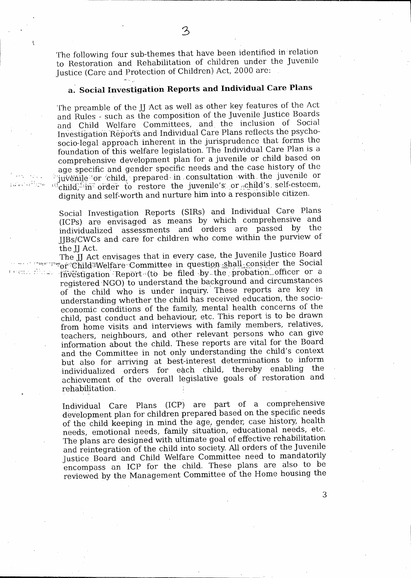The following four sub-themes that have been identified in relation. to Restoration and Rehabilitation of children. under the juvenile Justice (Care and Protection of Children) Act, 2000 are:

## **a. Social Investigation Reports and Individual Care Plans**

The preamble of the JJ Act as well as other key features of the Act and Rules - such as the composition of the Juvenile Justice Boards. and Child Welfare Committees, and the inclusion of Social Investigation Reports and Individual Care Plans reflects the psycho-- socio-legal approach inherent in the jurisprudence that forms the foundation of this welfare legislation. The Individual Care Plan is a. comprehensive development plan for a juvenile or child based on. age specific and gender specific needs and the case history of the juvenile or child, prepared in consultation with the juvenile or  $\epsilon$ child,  $\epsilon$  in order to restore the juvenile's or  $\epsilon$ child's self-esteem, dignity and self-worth and nurture him into a responsible citizen.

عارية الراباء

 $\pm i$ 

Social. Investigation Reports (SIRs) and Individual Care Plans (ICPs) are envisaged as means by which comprehensive and individualized assessments and orders are passed by the 1113s/CWC5 and care for children who come within the purview of • the II Act.

The jj Act envisages that in every case, the juvenile Justice Board.  $\sim$ or-Child:Welfare-Committee in question-shall-consider the Social Investigation Report. (to be filed by the probation officer or a registered NGO) to understand the background and circumstances of the child who is under inquiry. These reports are key in understanding whether the child has received, education, the socioeconomic conditions of the family, mental health concerns of the child, past conduct and behaviour, etc. This report is to be drawn. from home visits and interviews with family members, relatives, teachers, neighbours, and other relevant persons who can give information about the child. These reports are vital for the Board and the Committee in not only understanding the child's context but also for arriving at best-interest determinations to inform. individualized orders for each child, thereby enabling achievement of the overall legislative goals of restoration and rehabilitation.

Individual Care Plans (ICP) are part of a comprehensive development plan for children prepared based on the specific needs of the child keeping in mind the age, gender, case history, health needs, emotional needs, family situation, educational needs, etc. The plans are designed with ultimate goal of effective rehabilitation and reintegration of the child into society. All orders of the juvenile Justice Board and Child Welfare Committee need to mandatorily encompass an ICP for the child. These plans are also to be reviewed by the Management Committee of the Home housing the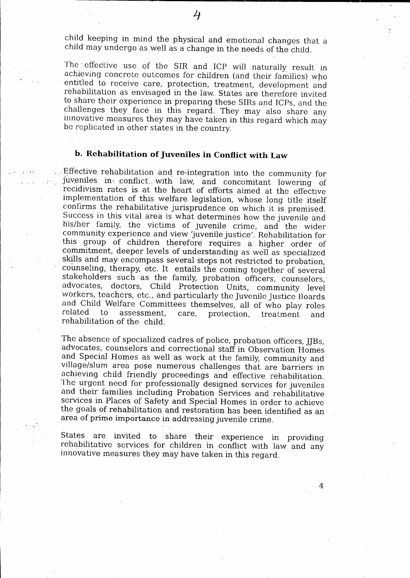child keeping in mind the physical and emotional changes that a child may undergo as well as a change in the needs of the child.

The effective use of the SIR and JCP will naturally result in achieving concrete outcomes for children (and their families) who entitled to receive care, protection, treatment, development and rehabilitation as envisaged in the law. States are therefore invited to share their experience in preparing these SIRs and ICPs, and the challenges they face in this regard. They may also share any innovative measures they may have taken in this regard which may be replicated in other states in the country.

## **b. Rehabilitation of Juveniles in Conflict with Law**

. Effective rehabilitation and re-integration into the community for juveniles in- $\text{conflict}_w$ , with, law, and concomitant lowering of recidivism rates is at the heart of efforts aimed at the effective implementation of this welfare legislation, whose long title itself confirms the rehabilitative jurisprudence on which it is premised. Success in this vital area is what determines how the juvenile and his/her family, the victims of juvenile crime, and the wider community experience and view 'juvenile justice'. Rehabilitation for this group of children therefore requires a higher order of commitment, deeper levels of understanding as well as specialized skills and may encompass several steps not restricted to probation, counseling, therapy, etc. It entails the coming together of several stakeholders such as the family, probation officers, counselors, advocates, doctors, Child Protection Units, community level workers, teachers, etc., and particularly the juvenile justice Boards and Child Welfare Committees themselves, all of who play roles related to assessment, care, protection, treatment and rehabilitation of the child..

The absence of specialized cadres of police, probation officers, jjBs, advocates, counselors and correctional staff in Observation Homes and Special Homes as well as work at the family, community and village/slum area pose numerous challenges that are barriers in achieving child friendly proceedings and effective rehabilitation. The urgent need for professionally designed services for juveniles and their families including Probation Services and rehabilitative services in Places of Safety and Special Homes in order to achieve the goals of rehabilitation and restoration has been identified as an area of prime importance in addressing juvenile crime.

States are invited to share their experience in providing rehabilitative services for children in conflict with law and any innovative measures they may have taken in this regard.

4

 $\overline{4}$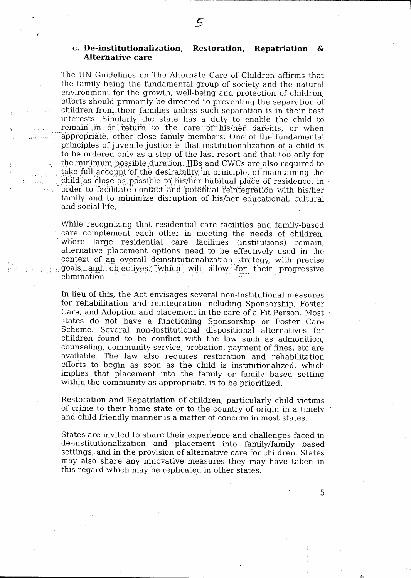#### **c. De-institutionalization, Restoration, Repatriation & Alternative care**

The 'UN Guidelines on The Alternate Care of Children affirms that the family being the fundamental group of society and the natural environment for the growth, well-being and protection of children, efforts should primarily be directed to preventing the separation of children from their families unless such separation is in their best interests. Similarly the state has a duty to enable the child to remain in or return to the care of his/her parents, or when appropriate, other close family members. One of the fundamental principles of juvenile justice is that institutionalization of a child is to be ordered only as a step of the last resort and that too only for the.minimuni possible duration. JJBs and CWCs are also required to take full account of the desirability in principle, of maintaining the child as close as possible to his/her habitual place of residence, in order to facilitate contact and potential reintegration with his/her family and to minimize disruption of his/her educational, cultural and social life.

tike op

While recognizing that residential care facilities and family-based care complement each other in meeting the needs of children, where large residential care facilities (institutions) remain, alternative placement options need to be effectively used in the context of an overall deinstitutionalization strategy, with precise ..goals\_ and I-objectives ,' 7which will allow • :for their progressive elimination.

In lieu of this, the Act envisages several non-institutional measures for rehabilitation and reintegration including Sponsorship, Foster Care, and Adoption and placement in the care of a Fit Person.. Most states do not have a functioning Sponsorship or Foster Care Scheme. Several non-institutional dispositional alternatives for children found to be conflict with the law such as admonition, counseling, community service, probation, payment of fines, etc are available: The law also requires restoration and rehabilitation efforts to begin as soon as the child is institutionalized, which implies that placement into the family or family based setting within the community as appropriate, is to be prioritized.

Restoration and Repatriation of children, particularly child victims of crime to their home state or to the country of origin in a timely and child friendly manner is a matter of concern in most states.

States are invited to share their experience and challenges faced in de-institutionalization and placement into family/family based settings, and in the provision of alternative care for children. States may also share any innovative measures they may have taken in this regard which may be replicated in other states.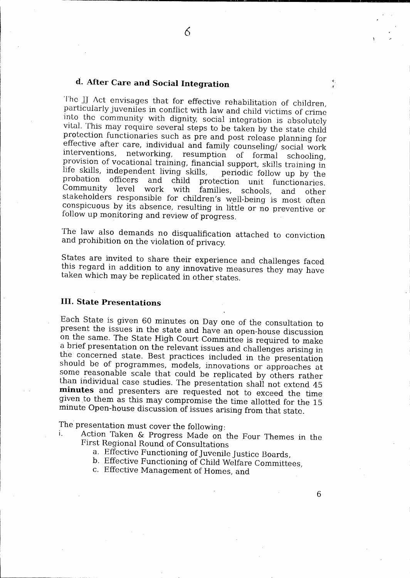## **d. After Care and Social Integration**

The jj Act envisages that for effective rehabilitation of children, particularly juveniles in conflict with law and child victims of crime into the community with dignity, social integration is absolutely vital. This may require several steps to be taken by the state child protection functionaries such as pre and post release planning for effective after care, individual and family counseling/social work<br>interventions, networking, resumption of formal schooling resumption of formal schooling, provision of vocational training, financial support, skills training in. life skills, independent living skills, periodic follow up by the probation officers and child protection unit functionaries probation officers and child protection unit functionaries.<br>Community level work with families, schools, and other Community level work with families, schools, and other stakeholders responsible for children's well-being is most often conspicuous by its absence, resulting in little or no preventive or follow up monitoring and review of progress.

6

The law also demands no disqualification attached to conviction and prohibition on the violation of privacy.

States are invited to share their experience and challenges faced this regard in addition to any innovative measures they may have taken which may be replicated in other states.

#### **HI. State Presentations**

Each State is given 60 minutes on Day one of the consultation to present the issues in the state and have an open-house discussion on the same. The State High Court Committee is required to make a brief presentation on the relevant issues and challenges arising in. the concerned state. Best practices included in the presentation should be of programmes, models, innovations or approaches at some reasonable scale that could be replicated by others rather than individual case studies. The presentation shall not extend 45 **minutes** and. presenters are requested not to exceed the time given to them as this may compromise the time allotted for the 15 minute Open-house discussion of issues arising from that state.

The presentation must cover the following:<br>i. Action Taken & Progress Made on

Action Taken & Progress Made on the Four Themes in the First Regional Round of Consultations

- a. Effective Functioning of juvenile Justice Boards,
- b. Effective Functioning of Child Welfare Committees,
- c. Effective Management of Homes, and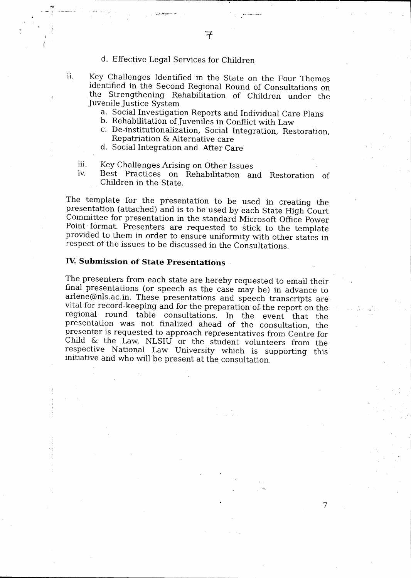d. Effective Legal Services for Children

 $v_{\rm T}$ 

ii.

Key Challenges Identified in the State on the Four Themes identified in the Second Regional Round of Consultations on the Strengthening Rehabilitation of Children under the juvenile Justice System

- a. Social Investigation Reports and Individual Care Plans
- b. Rehabilitation of Juveniles in Conflict with Law
- De-institutionalization, Social Integration,. Restoration, Repatriation & Alternative care
- d. Social Integration and After Care

iii. Key Challenges Arising on Other Issues

iv. Best Practices on Rehabilitation and Restoration of Children in the State.'

The template for the presentation to be used in creating the presentation (attached) and is to be used by each State High Court Committee for presentation in the standard Microsoft Office Power Point format. Presenters are requested to stick to the template provided to them in order to ensure uniformity with other states in respect of the issues to be discussed in the Consultations.

### **IV. Submission of State Presentations**

The presenters from each state are hereby requested to email their final presentations (or speech as the case may be) in advance to arlene@n1s.ac.in. These presentations and speech transcripts are• vital for record-keeping and for the preparation of the report on the regional round table consultations. In the event that the presentation was not finalized ahead of the consultation, the presenter is requested to approach representatives from Centre for Child *&* the Law, NLSIU or the student volunteers from the respective National Law University which is supporting this initiative and who will be present at the consultation.